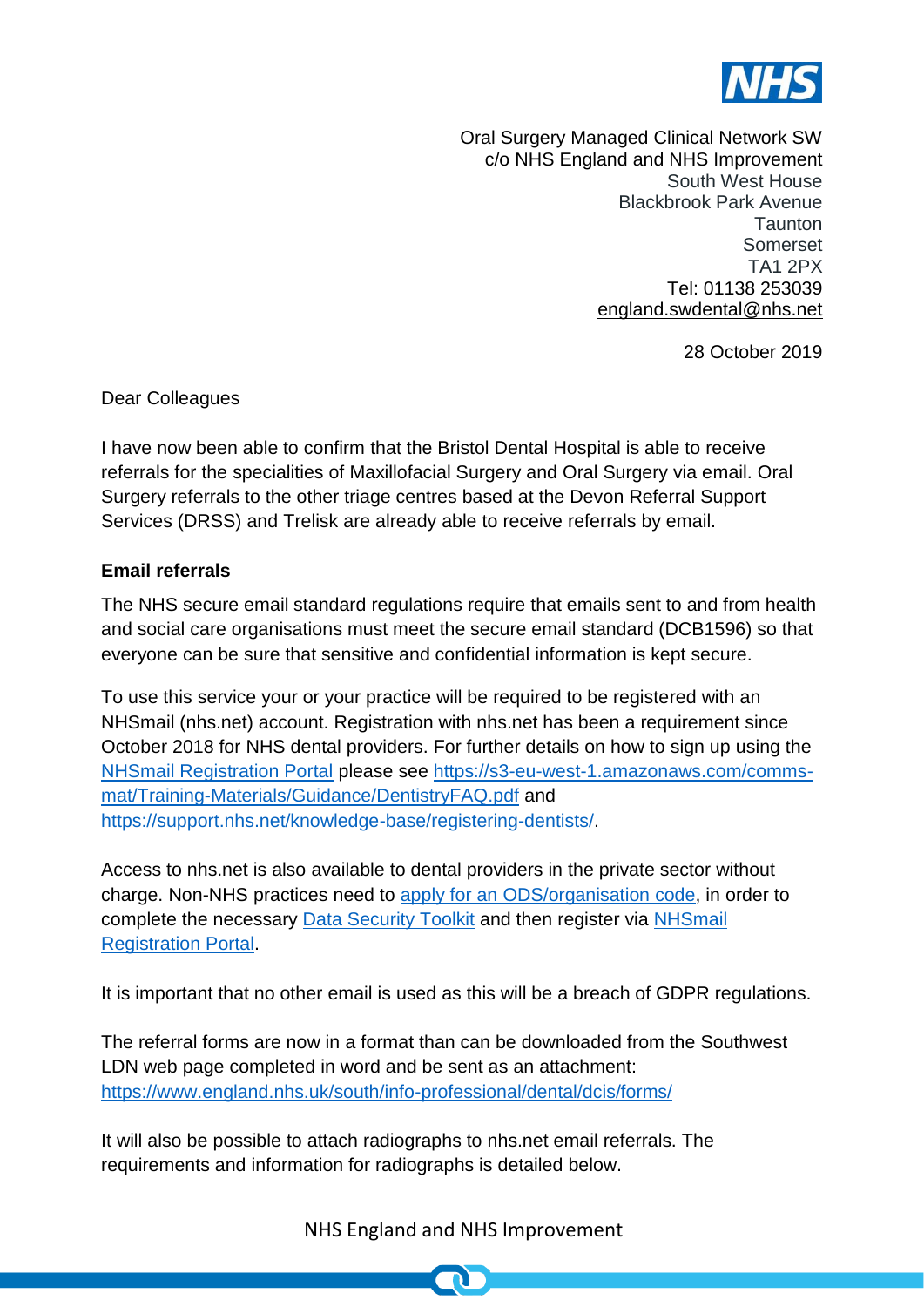

Oral Surgery Managed Clinical Network SW c/o NHS England and NHS Improvement South West House Blackbrook Park Avenue **Taunton** Somerset TA1 2PX Tel: 01138 253039 [england.swdental@nhs.net](mailto:england.swdental@nhs.net)

28 October 2019

Dear Colleagues

I have now been able to confirm that the Bristol Dental Hospital is able to receive referrals for the specialities of Maxillofacial Surgery and Oral Surgery via email. Oral Surgery referrals to the other triage centres based at the Devon Referral Support Services (DRSS) and Trelisk are already able to receive referrals by email.

## **Email referrals**

[The NHS secure email standard](https://digital.nhs.uk/services/nhsmail/the-secure-email-standard) regulations require that emails sent to and from health and social care organisations must meet the secure email standard (DCB1596) so that everyone can be sure that sensitive and confidential information is kept secure.

To use this service your or your practice will be required to be registered with an NHSmail (nhs.net) account. Registration with nhs.net has been a requirement since October 2018 for NHS dental providers. For further details on how to sign up using the [NHSmail Registration Portal](https://portal.nhs.net/Registration#/dentistry) please see [https://s3-eu-west-1.amazonaws.com/comms](https://s3-eu-west-1.amazonaws.com/comms-mat/Training-Materials/Guidance/DentistryFAQ.pdf)[mat/Training-Materials/Guidance/DentistryFAQ.pdf](https://s3-eu-west-1.amazonaws.com/comms-mat/Training-Materials/Guidance/DentistryFAQ.pdf) and [https://support.nhs.net/knowledge-base/registering-dentists/.](https://support.nhs.net/knowledge-base/registering-dentists/)

Access to nhs.net is also available to dental providers in the private sector without charge. Non-NHS practices need to apply for an [ODS/organisation](https://digital.nhs.uk/binaries/content/assets/website-assets/services/ods/organisation-code-request-form.docx) code, in order to complete the necessary [Data Security Toolkit](https://digital.nhs.uk/data-and-information/looking-after-information/data-security-and-information-governance/data-security-and-protection-toolkit) and then register via NHSmail [Registration Portal.](https://portal.nhs.net/Registration#/dentistry)

It is important that no other email is used as this will be a breach of GDPR regulations.

The referral forms are now in a format than can be downloaded from the Southwest LDN web page completed in word and be sent as an attachment: <https://www.england.nhs.uk/south/info-professional/dental/dcis/forms/>

It will also be possible to attach radiographs to nhs.net email referrals. The requirements and information for radiographs is detailed below.

NHS England and NHS Improvement